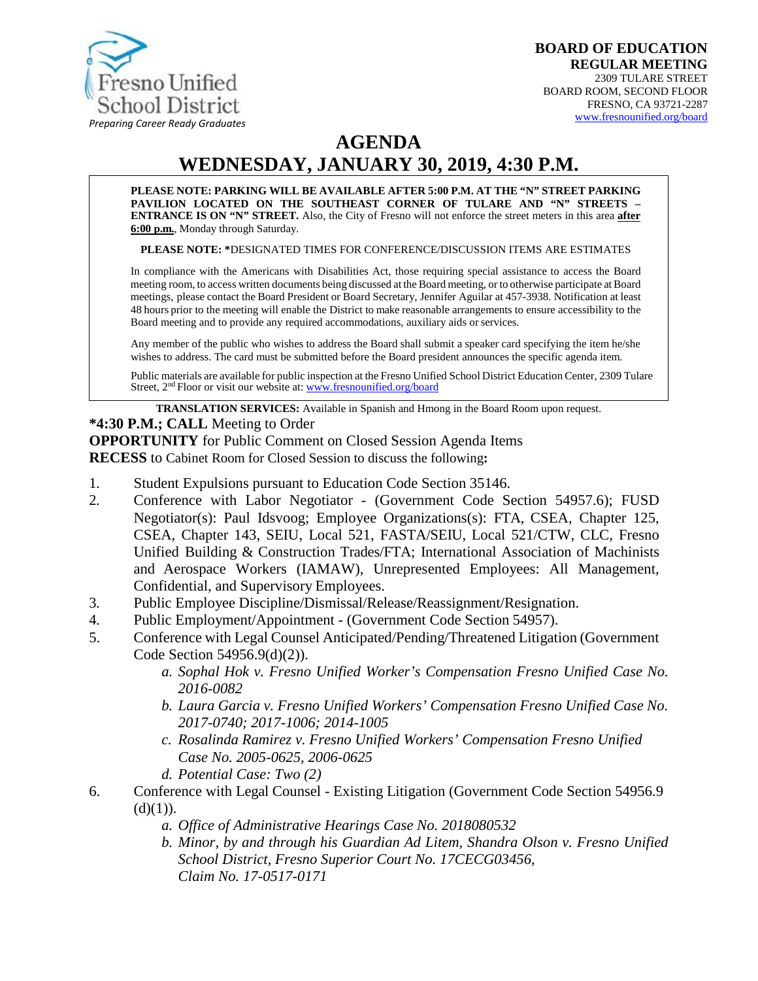

# **AGENDA**

# **WEDNESDAY, JANUARY 30, 2019, 4:30 P.M.**

**PLEASE NOTE: PARKING WILL BE AVAILABLE AFTER 5:00 P.M. AT THE "N" STREET PARKING PAVILION LOCATED ON THE SOUTHEAST CORNER OF TULARE AND "N" STREETS – ENTRANCE IS ON "N" STREET.** Also, the City of Fresno will not enforce the street meters in this area **after 6:00 p.m.**, Monday through Saturday.

**PLEASE NOTE: \***DESIGNATED TIMES FOR CONFERENCE/DISCUSSION ITEMS ARE ESTIMATES

In compliance with the Americans with Disabilities Act, those requiring special assistance to access the Board meeting room, to access written documents being discussed at the Board meeting, or to otherwise participate atBoard meetings, please contact the Board President or Board Secretary, Jennifer Aguilar at 457-3938. Notification at least 48 hours prior to the meeting will enable the District to make reasonable arrangements to ensure accessibility to the Board meeting and to provide any required accommodations, auxiliary aids orservices.

Any member of the public who wishes to address the Board shall submit a speaker card specifying the item he/she wishes to address. The card must be submitted before the Board president announces the specific agenda item.

Public materials are available for public inspection at the Fresno Unified School District Education Center, 2309 Tulare Street, 2<sup>nd</sup> Floor or visit our website at: [www.fresnounified.org/board](http://www.fresnounified.org/board)

**TRANSLATION SERVICES:** Available in Spanish and Hmong in the Board Room upon request.

#### **\*4:30 P.M.; CALL** Meeting to Order

**OPPORTUNITY** for Public Comment on Closed Session Agenda Items

**RECESS** to Cabinet Room for Closed Session to discuss the following**:**

- 1. Student Expulsions pursuant to Education Code Section 35146.
- 2. Conference with Labor Negotiator (Government Code Section 54957.6); FUSD Negotiator(s): Paul Idsvoog; Employee Organizations(s): FTA, CSEA, Chapter 125, CSEA, Chapter 143, SEIU, Local 521, FASTA/SEIU, Local 521/CTW, CLC, Fresno Unified Building & Construction Trades/FTA; International Association of Machinists and Aerospace Workers (IAMAW), Unrepresented Employees: All Management, Confidential, and Supervisory Employees.
- 3. Public Employee Discipline/Dismissal/Release/Reassignment/Resignation.
- 4. Public Employment/Appointment (Government Code Section 54957).
- 5. Conference with Legal Counsel Anticipated/Pending/Threatened Litigation (Government Code Section 54956.9(d)(2)).
	- *a. Sophal Hok v. Fresno Unified Worker's Compensation Fresno Unified Case No. 2016-0082*
	- *b. Laura Garcia v. Fresno Unified Workers' Compensation Fresno Unified Case No. 2017-0740; 2017-1006; 2014-1005*
	- *c. Rosalinda Ramirez v. Fresno Unified Workers' Compensation Fresno Unified Case No. 2005-0625, 2006-0625*
	- *d. Potential Case: Two (2)*
- 6. Conference with Legal Counsel Existing Litigation (Government Code Section 54956.9  $(d)(1)).$ 
	- *a. Office of Administrative Hearings Case No. 2018080532*
	- *b. Minor, by and through his Guardian Ad Litem, Shandra Olson v. Fresno Unified School District, Fresno Superior Court No. 17CECG03456, Claim No. 17-0517-0171*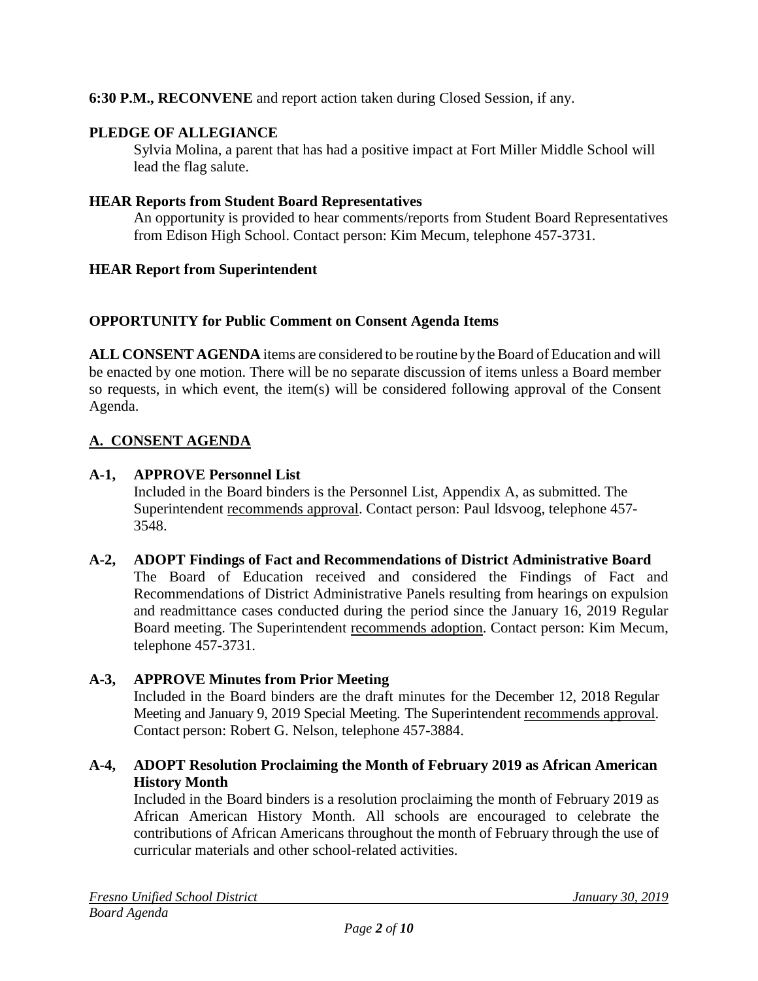# **6:30 P.M., RECONVENE** and report action taken during Closed Session, if any.

# **PLEDGE OF ALLEGIANCE**

Sylvia Molina, a parent that has had a positive impact at Fort Miller Middle School will lead the flag salute.

#### **HEAR Reports from Student Board Representatives**

An opportunity is provided to hear comments/reports from Student Board Representatives from Edison High School. Contact person: Kim Mecum, telephone 457-3731.

#### **HEAR Report from Superintendent**

#### **OPPORTUNITY for Public Comment on Consent Agenda Items**

**ALL CONSENT AGENDA** items are considered to be routine bythe Board of Education and will be enacted by one motion. There will be no separate discussion of items unless a Board member so requests, in which event, the item(s) will be considered following approval of the Consent Agenda.

# **A. CONSENT AGENDA**

#### **A-1, APPROVE Personnel List**

Included in the Board binders is the Personnel List, Appendix A, as submitted. The Superintendent recommends approval. Contact person: Paul Idsvoog, telephone 457-3548.

#### **A-2, ADOPT Findings of Fact and Recommendations of District Administrative Board**

The Board of Education received and considered the Findings of Fact and Recommendations of District Administrative Panels resulting from hearings on expulsion and readmittance cases conducted during the period since the January 16, 2019 Regular Board meeting. The Superintendent recommends adoption. Contact person: Kim Mecum, telephone 457-3731.

#### **A-3, APPROVE Minutes from Prior Meeting**

Included in the Board binders are the draft minutes for the December 12, 2018 Regular Meeting and January 9, 2019 Special Meeting. The Superintendent recommends approval. Contact person: Robert G. Nelson, telephone 457-3884.

#### **A-4, ADOPT Resolution Proclaiming the Month of February 2019 as African American History Month**

Included in the Board binders is a resolution proclaiming the month of February 2019 as African American History Month. All schools are encouraged to celebrate the contributions of African Americans throughout the month of February through the use of curricular materials and other school-related activities.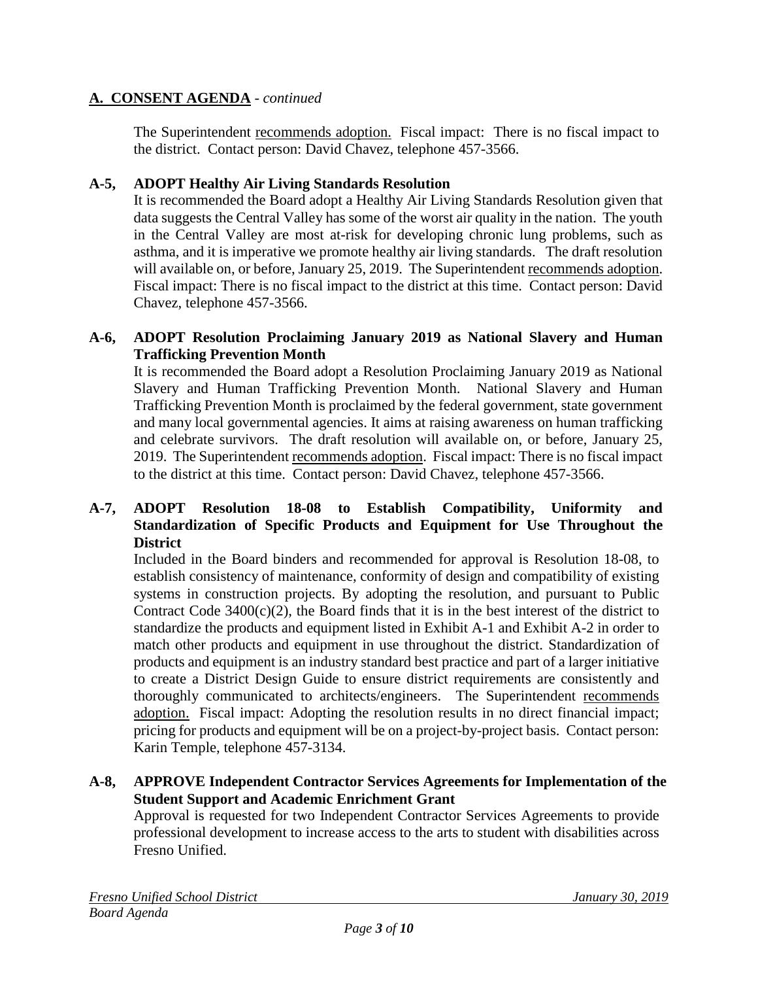The Superintendent recommends adoption. Fiscal impact: There is no fiscal impact to the district. Contact person: David Chavez, telephone 457-3566.

#### **A-5, ADOPT Healthy Air Living Standards Resolution**

It is recommended the Board adopt a Healthy Air Living Standards Resolution given that data suggests the Central Valley has some of the worst air quality in the nation. The youth in the Central Valley are most at-risk for developing chronic lung problems, such as asthma, and it is imperative we promote healthy air living standards. The draft resolution will available on, or before, January 25, 2019. The Superintendent recommends adoption. Fiscal impact: There is no fiscal impact to the district at this time. Contact person: David Chavez, telephone 457-3566.

# **A-6, ADOPT Resolution Proclaiming January 2019 as National Slavery and Human Trafficking Prevention Month**

It is recommended the Board adopt a Resolution Proclaiming January 2019 as National Slavery and Human Trafficking Prevention Month. National Slavery and Human Trafficking Prevention Month is proclaimed by the federal government, state government and many local governmental agencies. It aims at raising awareness on human trafficking and celebrate survivors. The draft resolution will available on, or before, January 25, 2019. The Superintendent recommends adoption. Fiscal impact: There is no fiscal impact to the district at this time. Contact person: David Chavez, telephone 457-3566.

# **A-7, ADOPT Resolution 18-08 to Establish Compatibility, Uniformity and Standardization of Specific Products and Equipment for Use Throughout the District**

Included in the Board binders and recommended for approval is Resolution 18-08, to establish consistency of maintenance, conformity of design and compatibility of existing systems in construction projects. By adopting the resolution, and pursuant to Public Contract Code  $3400(c)(2)$ , the Board finds that it is in the best interest of the district to standardize the products and equipment listed in Exhibit A-1 and Exhibit A-2 in order to match other products and equipment in use throughout the district. Standardization of products and equipment is an industry standard best practice and part of a larger initiative to create a District Design Guide to ensure district requirements are consistently and thoroughly communicated to architects/engineers. The Superintendent recommends adoption. Fiscal impact: Adopting the resolution results in no direct financial impact; pricing for products and equipment will be on a project-by-project basis. Contact person: Karin Temple, telephone 457-3134.

# **A-8, APPROVE Independent Contractor Services Agreements for Implementation of the Student Support and Academic Enrichment Grant**

Approval is requested for two Independent Contractor Services Agreements to provide professional development to increase access to the arts to student with disabilities across Fresno Unified.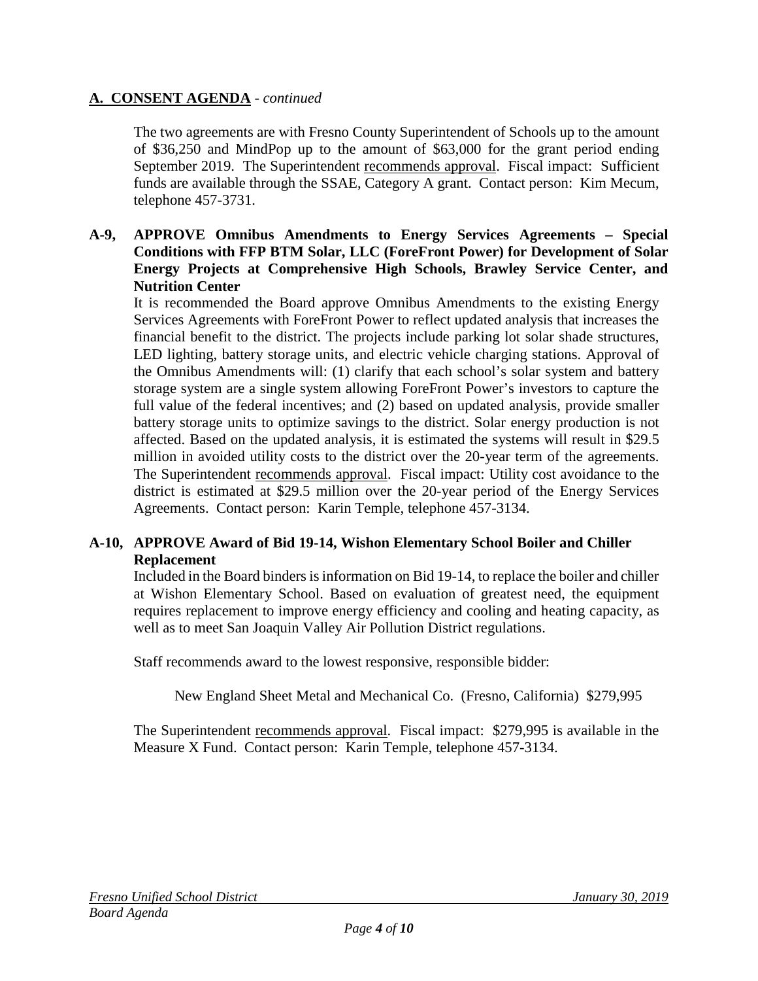The two agreements are with Fresno County Superintendent of Schools up to the amount of \$36,250 and MindPop up to the amount of \$63,000 for the grant period ending September 2019. The Superintendent recommends approval. Fiscal impact: Sufficient funds are available through the SSAE, Category A grant. Contact person: Kim Mecum, telephone 457-3731.

**A-9, APPROVE Omnibus Amendments to Energy Services Agreements – Special Conditions with FFP BTM Solar, LLC (ForeFront Power) for Development of Solar Energy Projects at Comprehensive High Schools, Brawley Service Center, and Nutrition Center**

It is recommended the Board approve Omnibus Amendments to the existing Energy Services Agreements with ForeFront Power to reflect updated analysis that increases the financial benefit to the district. The projects include parking lot solar shade structures, LED lighting, battery storage units, and electric vehicle charging stations. Approval of the Omnibus Amendments will: (1) clarify that each school's solar system and battery storage system are a single system allowing ForeFront Power's investors to capture the full value of the federal incentives; and (2) based on updated analysis, provide smaller battery storage units to optimize savings to the district. Solar energy production is not affected. Based on the updated analysis, it is estimated the systems will result in \$29.5 million in avoided utility costs to the district over the 20-year term of the agreements. The Superintendent recommends approval. Fiscal impact: Utility cost avoidance to the district is estimated at \$29.5 million over the 20-year period of the Energy Services Agreements. Contact person: Karin Temple, telephone 457-3134.

# **A-10, APPROVE Award of Bid 19-14, Wishon Elementary School Boiler and Chiller Replacement**

Included in the Board binders is information on Bid 19-14, to replace the boiler and chiller at Wishon Elementary School. Based on evaluation of greatest need, the equipment requires replacement to improve energy efficiency and cooling and heating capacity, as well as to meet San Joaquin Valley Air Pollution District regulations.

Staff recommends award to the lowest responsive, responsible bidder:

New England Sheet Metal and Mechanical Co. (Fresno, California) \$279,995

The Superintendent recommends approval. Fiscal impact: \$279,995 is available in the Measure X Fund. Contact person: Karin Temple, telephone 457-3134.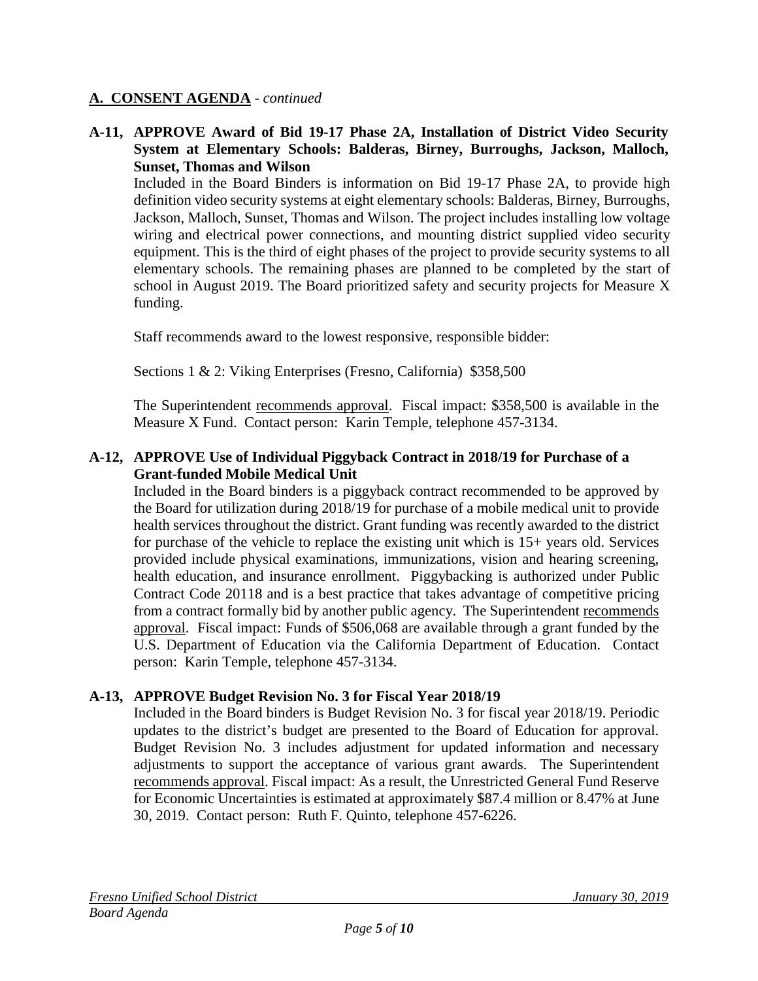#### **A-11, APPROVE Award of Bid 19-17 Phase 2A, Installation of District Video Security System at Elementary Schools: Balderas, Birney, Burroughs, Jackson, Malloch, Sunset, Thomas and Wilson**

Included in the Board Binders is information on Bid 19-17 Phase 2A, to provide high definition video security systems at eight elementary schools: Balderas, Birney, Burroughs, Jackson, Malloch, Sunset, Thomas and Wilson. The project includes installing low voltage wiring and electrical power connections, and mounting district supplied video security equipment. This is the third of eight phases of the project to provide security systems to all elementary schools. The remaining phases are planned to be completed by the start of school in August 2019. The Board prioritized safety and security projects for Measure X funding.

Staff recommends award to the lowest responsive, responsible bidder:

Sections 1 & 2: Viking Enterprises (Fresno, California) \$358,500

The Superintendent recommends approval. Fiscal impact: \$358,500 is available in the Measure X Fund. Contact person: Karin Temple, telephone 457-3134.

# **A-12, APPROVE Use of Individual Piggyback Contract in 2018/19 for Purchase of a Grant-funded Mobile Medical Unit**

Included in the Board binders is a piggyback contract recommended to be approved by the Board for utilization during 2018/19 for purchase of a mobile medical unit to provide health services throughout the district. Grant funding was recently awarded to the district for purchase of the vehicle to replace the existing unit which is 15+ years old. Services provided include physical examinations, immunizations, vision and hearing screening, health education, and insurance enrollment. Piggybacking is authorized under Public Contract Code 20118 and is a best practice that takes advantage of competitive pricing from a contract formally bid by another public agency. The Superintendent recommends approval. Fiscal impact: Funds of \$506,068 are available through a grant funded by the U.S. Department of Education via the California Department of Education. Contact person: Karin Temple, telephone 457-3134.

# **A-13, APPROVE Budget Revision No. 3 for Fiscal Year 2018/19**

Included in the Board binders is Budget Revision No. 3 for fiscal year 2018/19. Periodic updates to the district's budget are presented to the Board of Education for approval. Budget Revision No. 3 includes adjustment for updated information and necessary adjustments to support the acceptance of various grant awards. The Superintendent recommends approval. Fiscal impact: As a result, the Unrestricted General Fund Reserve for Economic Uncertainties is estimated at approximately \$87.4 million or 8.47% at June 30, 2019. Contact person: Ruth F. Quinto, telephone 457-6226.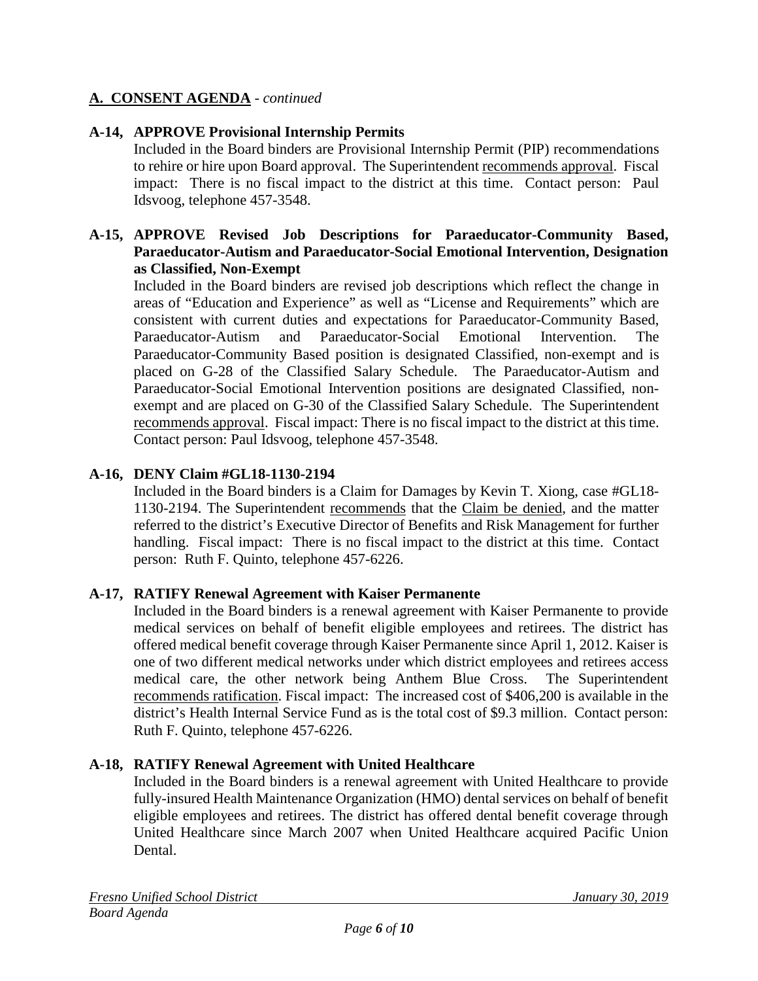# **A-14, APPROVE Provisional Internship Permits**

Included in the Board binders are Provisional Internship Permit (PIP) recommendations to rehire or hire upon Board approval. The Superintendent recommends approval. Fiscal impact: There is no fiscal impact to the district at this time. Contact person: Paul Idsvoog, telephone 457-3548.

#### **A-15, APPROVE Revised Job Descriptions for Paraeducator-Community Based, Paraeducator-Autism and Paraeducator-Social Emotional Intervention, Designation as Classified, Non-Exempt**

Included in the Board binders are revised job descriptions which reflect the change in areas of "Education and Experience" as well as "License and Requirements" which are consistent with current duties and expectations for Paraeducator-Community Based, Paraeducator-Autism and Paraeducator-Social Emotional Intervention. The Paraeducator-Community Based position is designated Classified, non-exempt and is placed on G-28 of the Classified Salary Schedule. The Paraeducator-Autism and Paraeducator-Social Emotional Intervention positions are designated Classified, nonexempt and are placed on G-30 of the Classified Salary Schedule. The Superintendent recommends approval. Fiscal impact: There is no fiscal impact to the district at this time. Contact person: Paul Idsvoog, telephone 457-3548.

# **A-16, DENY Claim #GL18-1130-2194**

Included in the Board binders is a Claim for Damages by Kevin T. Xiong, case #GL18- 1130-2194. The Superintendent recommends that the Claim be denied, and the matter referred to the district's Executive Director of Benefits and Risk Management for further handling. Fiscal impact: There is no fiscal impact to the district at this time. Contact person: Ruth F. Quinto, telephone 457-6226.

#### **A-17, RATIFY Renewal Agreement with Kaiser Permanente**

Included in the Board binders is a renewal agreement with Kaiser Permanente to provide medical services on behalf of benefit eligible employees and retirees. The district has offered medical benefit coverage through Kaiser Permanente since April 1, 2012. Kaiser is one of two different medical networks under which district employees and retirees access medical care, the other network being Anthem Blue Cross. The Superintendent recommends ratification. Fiscal impact: The increased cost of \$406,200 is available in the district's Health Internal Service Fund as is the total cost of \$9.3 million. Contact person: Ruth F. Quinto, telephone 457-6226.

#### **A-18, RATIFY Renewal Agreement with United Healthcare**

Included in the Board binders is a renewal agreement with United Healthcare to provide fully-insured Health Maintenance Organization (HMO) dental services on behalf of benefit eligible employees and retirees. The district has offered dental benefit coverage through United Healthcare since March 2007 when United Healthcare acquired Pacific Union Dental.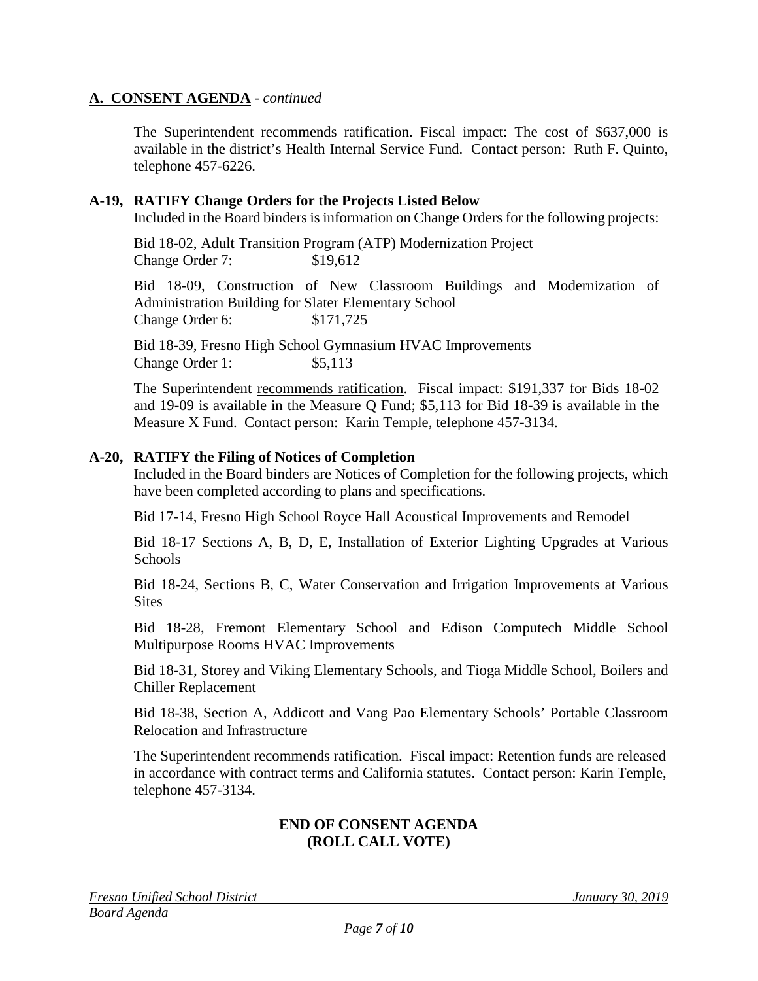The Superintendent recommends ratification. Fiscal impact: The cost of \$637,000 is available in the district's Health Internal Service Fund. Contact person: Ruth F. Quinto, telephone 457-6226.

#### **A-19, RATIFY Change Orders for the Projects Listed Below**

Included in the Board binders is information on Change Orders for the following projects:

Bid 18-02, Adult Transition Program (ATP) Modernization Project Change Order 7: \$19,612

Bid 18-09, Construction of New Classroom Buildings and Modernization of Administration Building for Slater Elementary School Change Order 6: \$171,725

Bid 18-39, Fresno High School Gymnasium HVAC Improvements Change Order 1: \$5,113

The Superintendent recommends ratification. Fiscal impact: \$191,337 for Bids 18-02 and 19-09 is available in the Measure Q Fund; \$5,113 for Bid 18-39 is available in the Measure X Fund. Contact person: Karin Temple, telephone 457-3134.

#### **A-20, RATIFY the Filing of Notices of Completion**

Included in the Board binders are Notices of Completion for the following projects, which have been completed according to plans and specifications.

Bid 17-14, Fresno High School Royce Hall Acoustical Improvements and Remodel

Bid 18-17 Sections A, B, D, E, Installation of Exterior Lighting Upgrades at Various **Schools** 

Bid 18-24, Sections B, C, Water Conservation and Irrigation Improvements at Various **Sites** 

Bid 18-28, Fremont Elementary School and Edison Computech Middle School Multipurpose Rooms HVAC Improvements

Bid 18-31, Storey and Viking Elementary Schools, and Tioga Middle School, Boilers and Chiller Replacement

Bid 18-38, Section A, Addicott and Vang Pao Elementary Schools' Portable Classroom Relocation and Infrastructure

The Superintendent recommends ratification. Fiscal impact: Retention funds are released in accordance with contract terms and California statutes. Contact person: Karin Temple, telephone 457-3134.

#### **END OF CONSENT AGENDA (ROLL CALL VOTE)**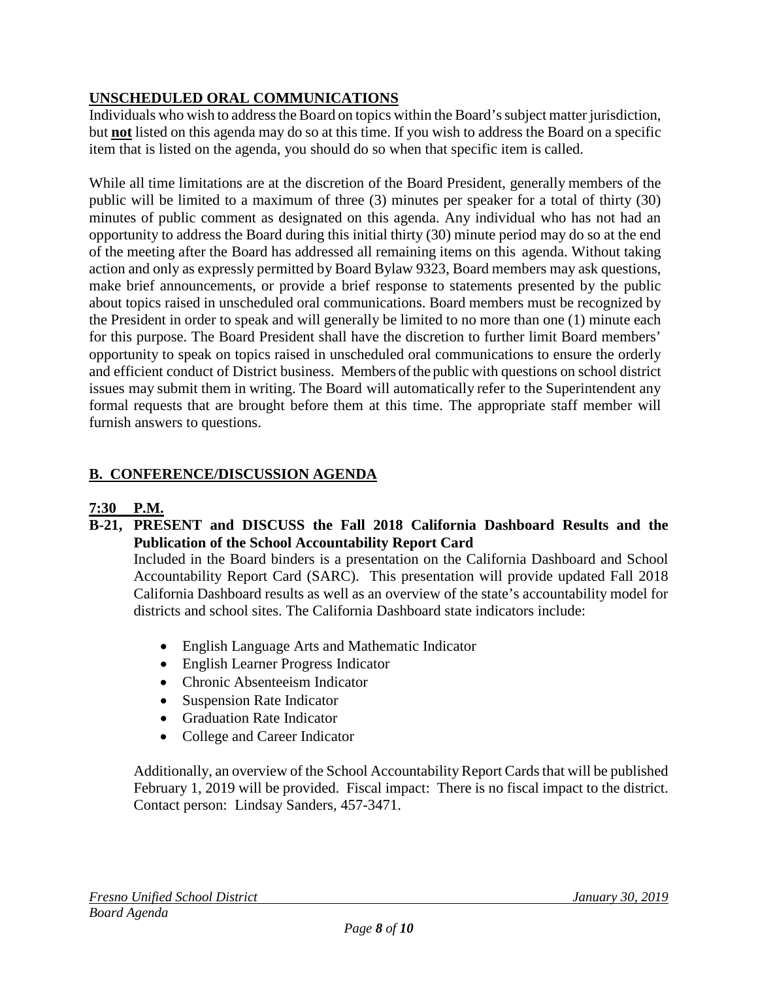# **UNSCHEDULED ORAL COMMUNICATIONS**

Individuals who wish to address the Board on topics within the Board's subject matter jurisdiction, but **not** listed on this agenda may do so at this time. If you wish to address the Board on a specific item that is listed on the agenda, you should do so when that specific item is called.

While all time limitations are at the discretion of the Board President, generally members of the public will be limited to a maximum of three (3) minutes per speaker for a total of thirty (30) minutes of public comment as designated on this agenda. Any individual who has not had an opportunity to address the Board during this initial thirty (30) minute period may do so at the end of the meeting after the Board has addressed all remaining items on this agenda. Without taking action and only as expressly permitted by Board Bylaw 9323, Board members may ask questions, make brief announcements, or provide a brief response to statements presented by the public about topics raised in unscheduled oral communications. Board members must be recognized by the President in order to speak and will generally be limited to no more than one (1) minute each for this purpose. The Board President shall have the discretion to further limit Board members' opportunity to speak on topics raised in unscheduled oral communications to ensure the orderly and efficient conduct of District business. Members of the public with questions on school district issues may submit them in writing. The Board will automatically refer to the Superintendent any formal requests that are brought before them at this time. The appropriate staff member will furnish answers to questions.

# **B. CONFERENCE/DISCUSSION AGENDA**

# **7:30 P.M.**

**B-21, PRESENT and DISCUSS the Fall 2018 California Dashboard Results and the Publication of the School Accountability Report Card**

Included in the Board binders is a presentation on the California Dashboard and School Accountability Report Card (SARC). This presentation will provide updated Fall 2018 California Dashboard results as well as an overview of the state's accountability model for districts and school sites. The California Dashboard state indicators include:

- English Language Arts and Mathematic Indicator
- English Learner Progress Indicator
- Chronic Absenteeism Indicator
- Suspension Rate Indicator
- Graduation Rate Indicator
- College and Career Indicator

Additionally, an overview of the School Accountability Report Cards that will be published February 1, 2019 will be provided. Fiscal impact: There is no fiscal impact to the district. Contact person: Lindsay Sanders, 457-3471.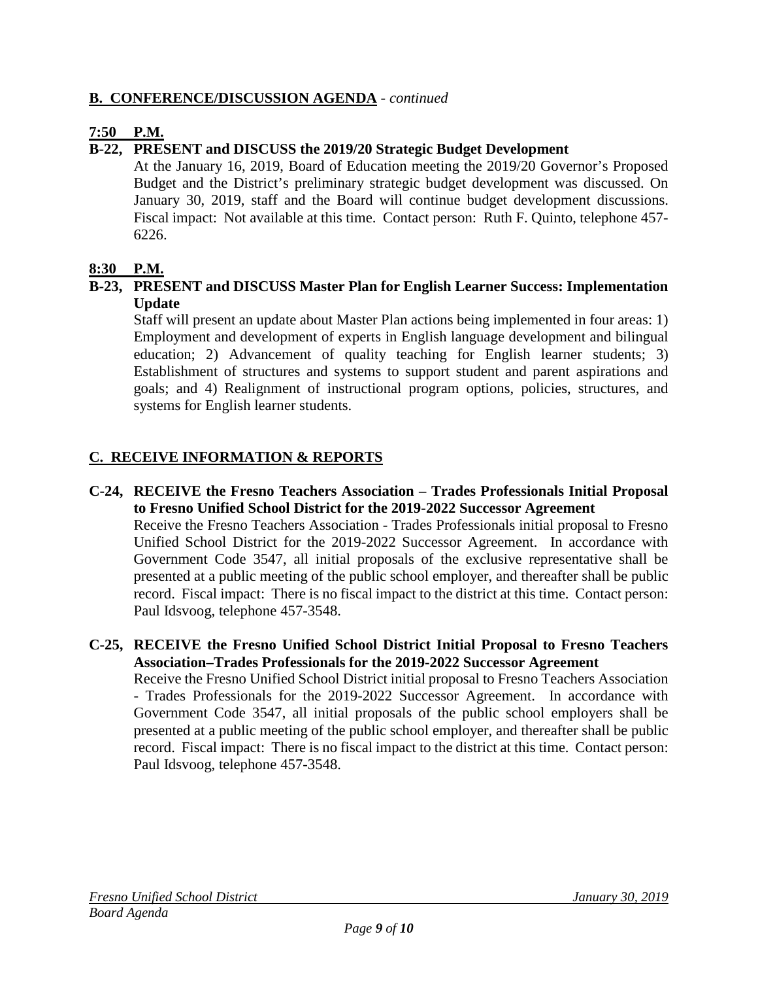# **B. CONFERENCE/DISCUSSION AGENDA** - *continued*

# **7:50 P.M.**

# **B-22, PRESENT and DISCUSS the 2019/20 Strategic Budget Development**

At the January 16, 2019, Board of Education meeting the 2019/20 Governor's Proposed Budget and the District's preliminary strategic budget development was discussed. On January 30, 2019, staff and the Board will continue budget development discussions. Fiscal impact: Not available at this time. Contact person: Ruth F. Quinto, telephone 457- 6226.

# **8:30 P.M.**

# **B-23, PRESENT and DISCUSS Master Plan for English Learner Success: Implementation Update**

Staff will present an update about Master Plan actions being implemented in four areas: 1) Employment and development of experts in English language development and bilingual education; 2) Advancement of quality teaching for English learner students; 3) Establishment of structures and systems to support student and parent aspirations and goals; and 4) Realignment of instructional program options, policies, structures, and systems for English learner students.

# **C. RECEIVE INFORMATION & REPORTS**

- **C-24, RECEIVE the Fresno Teachers Association – Trades Professionals Initial Proposal to Fresno Unified School District for the 2019-2022 Successor Agreement** Receive the Fresno Teachers Association - Trades Professionals initial proposal to Fresno Unified School District for the 2019-2022 Successor Agreement. In accordance with Government Code 3547, all initial proposals of the exclusive representative shall be presented at a public meeting of the public school employer, and thereafter shall be public record. Fiscal impact: There is no fiscal impact to the district at this time. Contact person: Paul Idsvoog, telephone 457-3548.
- **C-25, RECEIVE the Fresno Unified School District Initial Proposal to Fresno Teachers Association–Trades Professionals for the 2019-2022 Successor Agreement**

Receive the Fresno Unified School District initial proposal to Fresno Teachers Association - Trades Professionals for the 2019-2022 Successor Agreement. In accordance with Government Code 3547, all initial proposals of the public school employers shall be presented at a public meeting of the public school employer, and thereafter shall be public record. Fiscal impact: There is no fiscal impact to the district at this time. Contact person: Paul Idsvoog, telephone 457-3548.